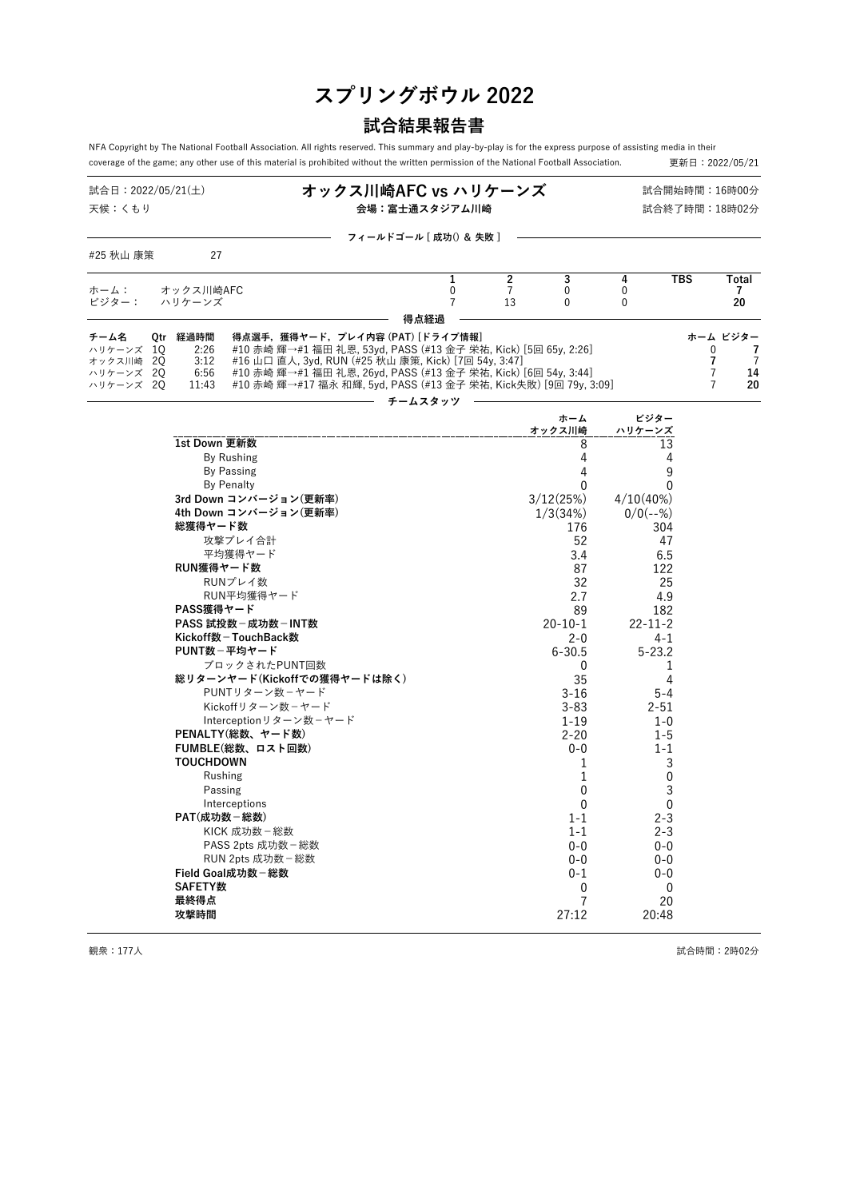# **スプリングボウル 2022**

## **試合結果報告書**

NFA Copyright by The National Football Association. All rights reserved. This summary and play-by-play is for the express purpose of assisting media in their<br>coverage of the game; any other use of this material is prohib coverage of the game; any other use of this material is prohibited without the written permission of the National Football Association.

| 試合日:2022/05/21(土)<br>天候:くもり                                                                                                                                                                                                                                                                                                                                                                                                                                                                                                                                                                                         | オックス川崎AFC vs ハリケーンズ<br>試合開始時間:16時00分<br>会場:富士通スタジアム川崎<br>試合終了時間:18時02分                                                                                                                                                                                                                                         |                                        |                                                                                                                                                                                                                                                                                                                         |                                                                                                                                                                                                                                                                                                                                     |                                            |                                             |  |  |  |
|---------------------------------------------------------------------------------------------------------------------------------------------------------------------------------------------------------------------------------------------------------------------------------------------------------------------------------------------------------------------------------------------------------------------------------------------------------------------------------------------------------------------------------------------------------------------------------------------------------------------|----------------------------------------------------------------------------------------------------------------------------------------------------------------------------------------------------------------------------------------------------------------------------------------------------------------|----------------------------------------|-------------------------------------------------------------------------------------------------------------------------------------------------------------------------------------------------------------------------------------------------------------------------------------------------------------------------|-------------------------------------------------------------------------------------------------------------------------------------------------------------------------------------------------------------------------------------------------------------------------------------------------------------------------------------|--------------------------------------------|---------------------------------------------|--|--|--|
|                                                                                                                                                                                                                                                                                                                                                                                                                                                                                                                                                                                                                     | フィールドゴール [ 成功() & 失敗 ]                                                                                                                                                                                                                                                                                         |                                        |                                                                                                                                                                                                                                                                                                                         |                                                                                                                                                                                                                                                                                                                                     |                                            |                                             |  |  |  |
| 27<br>#25 秋山 康策                                                                                                                                                                                                                                                                                                                                                                                                                                                                                                                                                                                                     |                                                                                                                                                                                                                                                                                                                |                                        |                                                                                                                                                                                                                                                                                                                         |                                                                                                                                                                                                                                                                                                                                     |                                            |                                             |  |  |  |
| オックス川崎AFC<br>ホーム:<br>ビジター:<br>ハリケーンズ                                                                                                                                                                                                                                                                                                                                                                                                                                                                                                                                                                                | 1<br>0<br>$\overline{7}$                                                                                                                                                                                                                                                                                       | $\overline{2}$<br>$\overline{7}$<br>13 | 3<br>$\overline{0}$<br>0                                                                                                                                                                                                                                                                                                | 4<br>$\mathbf{0}$<br>$\mathbf{0}$                                                                                                                                                                                                                                                                                                   | <b>TBS</b>                                 | Total<br>7<br>20                            |  |  |  |
| Qtr 経過時間<br>チーム名<br>ハリケーンズ<br>1Q<br>2:26<br>3:12<br>オックス川崎 20<br>6:56<br>20<br>ハリケーンズ<br>ハリケーンズ 2Q<br>11:43                                                                                                                                                                                                                                                                                                                                                                                                                                                                                                         | 得点経過<br>得点選手,獲得ヤード,プレイ内容 (PAT) [ドライブ情報]<br>#10 赤崎 輝→#1 福田 礼恩, 53yd, PASS (#13 金子 栄祐, Kick) [5回 65y, 2:26]<br>#16 山口 直人, 3yd, RUN (#25 秋山 康策, Kick) [7回 54y, 3:47]<br>#10 赤崎 輝→#1 福田 礼恩,26yd,PASS (#13 金子 栄祐,Kick) [6回 54y,3:44]<br>#10 赤崎 輝→#17 福永 和輝, 5yd, PASS (#13 金子 栄祐, Kick失敗) [9回 79y, 3:09]<br>チームスタッツ |                                        |                                                                                                                                                                                                                                                                                                                         |                                                                                                                                                                                                                                                                                                                                     | 0<br>7<br>$\overline{7}$<br>$\overline{7}$ | ホーム ビジター<br>7<br>$\overline{7}$<br>14<br>20 |  |  |  |
|                                                                                                                                                                                                                                                                                                                                                                                                                                                                                                                                                                                                                     |                                                                                                                                                                                                                                                                                                                |                                        | ホーム<br>オックス川崎                                                                                                                                                                                                                                                                                                           | ビジター<br>ハリケーンズ                                                                                                                                                                                                                                                                                                                      |                                            |                                             |  |  |  |
| 1st Down 更新数<br>By Rushing<br><b>By Passing</b><br><b>By Penalty</b><br>3rd Down コンバージョン(更新率)<br>4th Down コンバージョン(更新率)<br>総獲得ヤード数<br>攻撃プレイ合計<br>平均獲得ヤード<br>RUN獲得ヤード数<br>RUNプレイ数<br>RUN平均獲得ヤード<br>PASS獲得ヤード<br>PASS 試投数 - 成功数 - INT数<br>Kickoff数-TouchBack数<br>PUNT数-平均ヤード<br>ブロックされたPUNT回数<br>総リターンヤード(Kickoffでの獲得ヤードは除く)<br>PUNTリターン数ーヤード<br>Kickoffリターン数-ヤード<br>Interceptionリターン数-ヤード<br>PENALTY(総数、ヤード数)<br>FUMBLE(総数、ロスト回数)<br><b>TOUCHDOWN</b><br>Rushing<br>Passing<br>Interceptions<br>PAT(成功数-総数)<br>KICK 成功数 - 総数<br>PASS 2pts 成功数 - 総数<br>RUN 2pts 成功数 – 総数<br>Field Goal成功数-総数<br><b>SAFETY数</b><br>最終得点 |                                                                                                                                                                                                                                                                                                                |                                        | 8<br>4<br>4<br>$\Omega$<br>3/12(25%)<br>1/3(34%)<br>176<br>52<br>3.4<br>87<br>32<br>2.7<br>89<br>$20 - 10 - 1$<br>$2 - 0$<br>$6 - 30.5$<br>0<br>35<br>$3 - 16$<br>$3 - 83$<br>$1 - 19$<br>$2 - 20$<br>$0 - 0$<br>1<br>1<br>$\mathbf 0$<br>$\mathbf{0}$<br>$1 - 1$<br>$1 - 1$<br>$0 - 0$<br>$0 - 0$<br>$0 - 1$<br>0<br>7 | 13<br>4<br>9<br>$\Omega$<br>$4/10(40\%)$<br>$0/0(--%)$<br>304<br>47<br>6.5<br>122<br>25<br>4.9<br>182<br>$22 - 11 - 2$<br>$4 - 1$<br>$5 - 23.2$<br>1<br>4<br>$5 - 4$<br>$2 - 51$<br>$1 - 0$<br>$1 - 5$<br>$1 - 1$<br>3<br>$\mathbf 0$<br>3<br>$\mathbf{0}$<br>2-3<br>$2 - 3$<br>$0 - 0$<br>$0 - 0$<br>$0 - 0$<br>$\mathbf{0}$<br>20 |                                            |                                             |  |  |  |

- 観衆:177人 しょうこうしょう おおとこ しょうしょう しょうしゅう おおとこ しょうしゅう はらい 試合時間:2時02分 しょうしょうしょう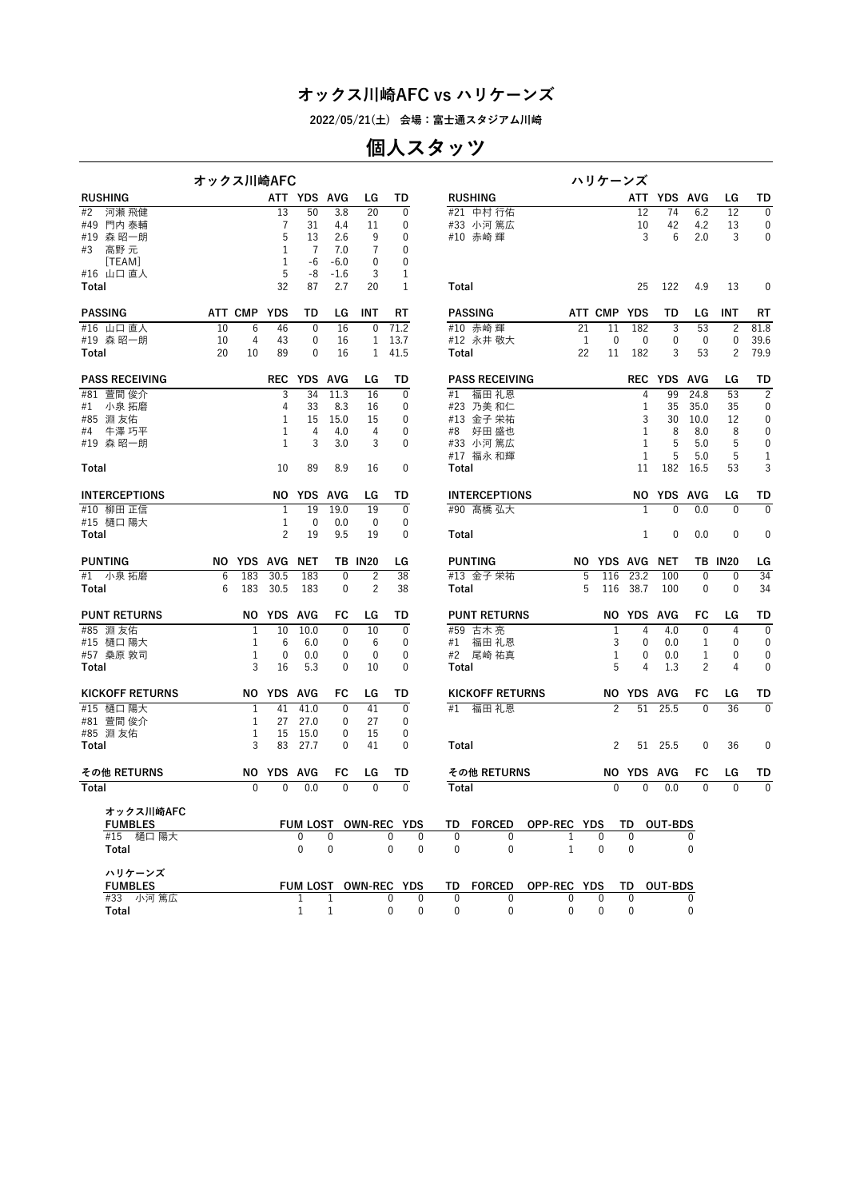**2022/05/21(土) 会場:富士通スタジアム川崎**

## **個人スタッツ**

|                        | オックス川崎AFC |                 |                |              |              |                |                              |              |                                  |              | ハリケーンズ         |                   |              |                |                |                |
|------------------------|-----------|-----------------|----------------|--------------|--------------|----------------|------------------------------|--------------|----------------------------------|--------------|----------------|-------------------|--------------|----------------|----------------|----------------|
| <b>RUSHING</b>         |           |                 |                | ATT YDS AVG  |              | LG             | TD                           |              | <b>RUSHING</b>                   |              |                |                   | ATT YDS AVG  |                | LG             | TD             |
| #2<br>河瀬 飛健            |           |                 | 13             | 50           | 3.8          | 20             | $\mathbf{0}$                 |              | #21 中村 行佑                        |              |                | 12                | 74           | 6.2            | 12             | $\mathbf{0}$   |
| #49 門内 泰輔              |           |                 | 7              | 31           | 4.4          | 11             | 0                            |              | #33 小河 篤広                        |              |                | 10                | 42           | 4.2            | 13             | 0              |
| #19 森 昭一朗              |           |                 | 5              | 13           | 2.6          | 9              | 0                            |              | #10 赤崎 輝                         |              |                | 3                 | 6            | 2.0            | 3              | 0              |
| 高野 元<br>#3             |           |                 | 1              | 7            | 7.0          | $\overline{7}$ | 0                            |              |                                  |              |                |                   |              |                |                |                |
| [TEAM]                 |           |                 | 1              | -6           | $-6.0$       | 0              | 0                            |              |                                  |              |                |                   |              |                |                |                |
| #16 山口 直人              |           |                 | 5              | -8           | $-1.6$       | 3              | 1                            |              |                                  |              |                |                   |              |                |                |                |
| Total                  |           |                 | 32             | 87           | 2.7          | 20             | $\mathbf{1}$                 | Total        |                                  |              |                | 25                | 122          | 4.9            | 13             | $\mathbf{0}$   |
| <b>PASSING</b>         |           | ATT CMP YDS     |                | TD           | LG           | INT            | RT                           |              | <b>PASSING</b>                   |              | ATT CMP YDS    |                   | TD           | LG             | INT            | RT             |
| #16 山口直人               | 10        | $6\phantom{1}6$ | 46             | $\mathbf 0$  | 16           | $\mathbf 0$    | 71.2                         |              | #10 赤崎輝                          | 21           | 11             | 182               | 3            | 53             | $\overline{2}$ | 81.8           |
| #19 森 昭一朗              | 10        | 4               | 43             | 0            | 16           | $\mathbf{1}$   | 13.7                         |              | #12 永井 敬大                        | 1            | 0              | 0                 | 0            | 0              | $\mathbf{0}$   | 39.6           |
| Total                  | 20        | 10              | 89             | 0            | 16           | $\mathbf{1}$   | 41.5                         | Total        |                                  | 22           | 11             | 182               | 3            | 53             | $\overline{c}$ | 79.9           |
| <b>PASS RECEIVING</b>  |           |                 |                | REC YDS AVG  |              | LG             | TD                           |              | <b>PASS RECEIVING</b>            |              |                |                   | REC YDS AVG  |                | LG             | TD             |
| #81 萱間俊介               |           |                 | 3              | 34           | 11.3         | 16             | $\mathbf 0$                  | #1           | 福田 礼恩                            |              |                | 4                 | 99           | 24.8           | 53             | $\overline{2}$ |
| #1 小泉 拓磨               |           |                 | 4              | 33           | 8.3          | 16             | 0                            |              | #23 乃美 和仁                        |              |                | 1                 | 35           | 35.0           | 35             | 0              |
| #85 淵友佑                |           |                 | 1              | 15           | 15.0         | 15             | $\mathbf 0$                  |              | #13 金子 栄祐                        |              |                | 3                 | 30           | 10.0           | 12             | 0              |
| 牛澤 巧平<br>#4            |           |                 | 1              | 4            | 4.0          | 4              | $\mathbf 0$                  | #8           | 好田 盛也                            |              |                | 1                 | 8            | 8.0            | 8              | 0              |
| #19 森昭一朗               |           |                 | 1              | 3            | 3.0          | 3              | 0                            |              | #33 小河 篤広                        |              |                | 1                 | 5            | 5.0            | 5              | 0              |
|                        |           |                 |                |              |              |                |                              |              | #17 福永 和輝                        |              |                | $\mathbf{1}$      | 5            | 5.0            | 5              | 1              |
| Total                  |           |                 | 10             | 89           | 8.9          | 16             | $\mathbf 0$                  | Total        |                                  |              |                | 11                |              | 182 16.5       | 53             | 3              |
| <b>INTERCEPTIONS</b>   |           |                 |                | NO YDS AVG   |              | LG             | TD                           |              | <b>INTERCEPTIONS</b>             |              |                | NO.               | YDS AVG      |                | LG             | TD             |
| #10 柳田 正信              |           |                 | $\mathbf{1}$   | 19           | 19.0         | 19             | $\mathbf{0}$                 |              | #90 髙橋 弘大                        |              |                | $\mathbf{1}$      | $\mathbf{0}$ | 0.0            | $\mathbf{0}$   | $\mathbf{0}$   |
| #15 樋口 陽大              |           |                 | $\mathbf{1}$   | $\mathbf 0$  | 0.0          | 0              | $\mathbf 0$                  |              |                                  |              |                |                   |              |                |                |                |
| Total                  |           |                 | $\overline{c}$ | 19           | 9.5          | 19             | $\mathbf 0$                  | Total        |                                  |              |                | 1                 | $\mathbf 0$  | 0.0            | $\mathbf{0}$   | $\mathbf 0$    |
| <b>PUNTING</b>         |           |                 | NO YDS AVG NET |              |              | <b>TB IN20</b> | LG                           |              | <b>PUNTING</b>                   |              | NO YDS AVG NET |                   |              |                | <b>TB IN20</b> | LG             |
| #1 小泉拓磨                | 6         | 183             | 30.5           | 183          | $\mathbf 0$  | 2              | 38                           |              | #13 金子 栄祐                        | 5            | 116            | 23.2              | 100          | $\mathbf{0}$   | $\mathbf 0$    | 34             |
| Total                  | 6         | 183             | 30.5           | 183          | $\mathbf 0$  | $\overline{c}$ | 38                           | Total        |                                  | 5            | 116            | 38.7              | 100          | $\mathbf 0$    | $\mathbf 0$    | 34             |
| <b>PUNT RETURNS</b>    |           |                 | NO YDS AVG     |              | FC           | LG             | TD                           |              | <b>PUNT RETURNS</b>              |              |                | NO YDS AVG        |              | FC             | LG             | TD             |
| #85 淵友佑                |           | 1               | 10             | 10.0         | $\mathbf{0}$ | 10             | $\mathbf{0}$                 |              | #59 古木亮                          |              | $\mathbf{1}$   | 4                 | 4.0          | $\mathbf{0}$   | 4              | $\mathbf{0}$   |
| #15 樋口 陽大              |           | 1               | 6              | 6.0          | 0            | 6              | $\mathbf 0$                  |              | #1 福田 礼恩                         |              | 3              | 0                 | 0.0          | 1              | $\mathbf 0$    | 0              |
| #57 桑原 敦司              |           | 1               | 0              | 0.0          | 0            | $\mathbf 0$    | $\mathbf 0$                  |              | #2 尾崎 祐真                         |              | 1              | 0                 | 0.0          | 1              | 0              | 0              |
| Total                  |           | 3               | 16             | 5.3          | $\mathbf{0}$ | 10             | $\mathbf{0}$                 | Total        |                                  |              | 5              | 4                 | 1.3          | $\overline{2}$ | 4              | 0              |
| <b>KICKOFF RETURNS</b> |           |                 | NO YDS         | AVG          | FC           | LG             | TD                           |              | <b>KICKOFF RETURNS</b>           |              |                | NO YDS AVG        |              | FC             | LG             | TD             |
| 樋口 陽大<br>#15           |           | 1               | 41             | 41.0         | $\mathbf{0}$ | 41             | $\mathbf 0$                  | #1           | 福田 礼恩                            |              | $\overline{c}$ | 51                | 25.5         | $\mathbf{0}$   | 36             | $\mathbf 0$    |
| #81 萱間俊介               |           | 1               | 27             | 27.0         | 0            | 27             | $\mathbf 0$                  |              |                                  |              |                |                   |              |                |                |                |
| #85 淵友佑                |           | 1               | 15             | 15.0         | 0            | 15             | $\mathbf 0$                  |              |                                  |              |                |                   |              |                |                |                |
| Total                  |           | 3               | 83             | 27.7         | 0            | 41             | $\mathbf{0}$                 | Total        |                                  |              | 2              | 51                | 25.5         | $\mathbf{0}$   | 36             | 0              |
| その他 RETURNS            |           |                 | NO YDS AVG     |              | FC           | LG             | TD                           |              | その他 RETURNS                      |              |                | <b>NO YDS AVG</b> |              | FC             | LG             | TD             |
| Total                  |           | $\Omega$        | $\mathbf{0}$   | 0.0          | $\mathbf{0}$ | $\Omega$       | $\Omega$                     | Total        |                                  |              | $\mathbf{0}$   | $\mathbf{0}$      | 0.0          | $\mathbf{0}$   | $\Omega$       | $\mathbf{0}$   |
| オックス川崎AFC              |           |                 |                |              |              |                |                              |              |                                  |              |                |                   |              |                |                |                |
| <b>FUMBLES</b>         |           |                 |                |              |              |                | FUM LOST OWN-REC YDS         |              | TD FORCED OPP-REC YDS            |              |                | TD OUT-BDS        |              |                |                |                |
| #15 樋口 陽大              |           |                 |                | $\mathbf{0}$ | $\mathbf{0}$ |                | $\mathbf{0}$<br>$\mathbf{0}$ | 0            | $\mathbf{0}$                     | $\mathbf{1}$ | 0              | $\mathbf{0}$      |              | 0              |                |                |
| Total                  |           |                 |                | $\mathbf 0$  | 0            |                | $\mathbf 0$<br>$\mathbf{0}$  | $\mathbf 0$  | $\mathbf 0$                      | $\mathbf{1}$ | $\mathbf 0$    | $\mathbf 0$       |              | $\mathbf 0$    |                |                |
| ハリケーンズ                 |           |                 |                |              |              |                |                              |              |                                  |              |                |                   |              |                |                |                |
| <b>FUMBLES</b>         |           |                 |                |              |              |                | FUM LOST OWN-REC YDS         |              | TD FORCED OPP-REC YDS TD OUT-BDS |              |                |                   |              |                |                |                |
| #33 小河 篤広              |           |                 |                | 1            | $\mathbf{1}$ |                | $\mathbf{0}$<br>$\Omega$     | $\mathbf{0}$ | $\mathbf{0}$                     | $\mathbf{0}$ | $\Omega$       | $\mathbf{0}$      |              | 0              |                |                |
| Total                  |           |                 |                | $\mathbf{1}$ |              |                | $\mathbf{0}$<br>$\mathbf{0}$ | $\mathbf{0}$ | $\mathbf{0}$                     | $\mathbf{0}$ | $\Omega$       | $\Omega$          |              | $\Omega$       |                |                |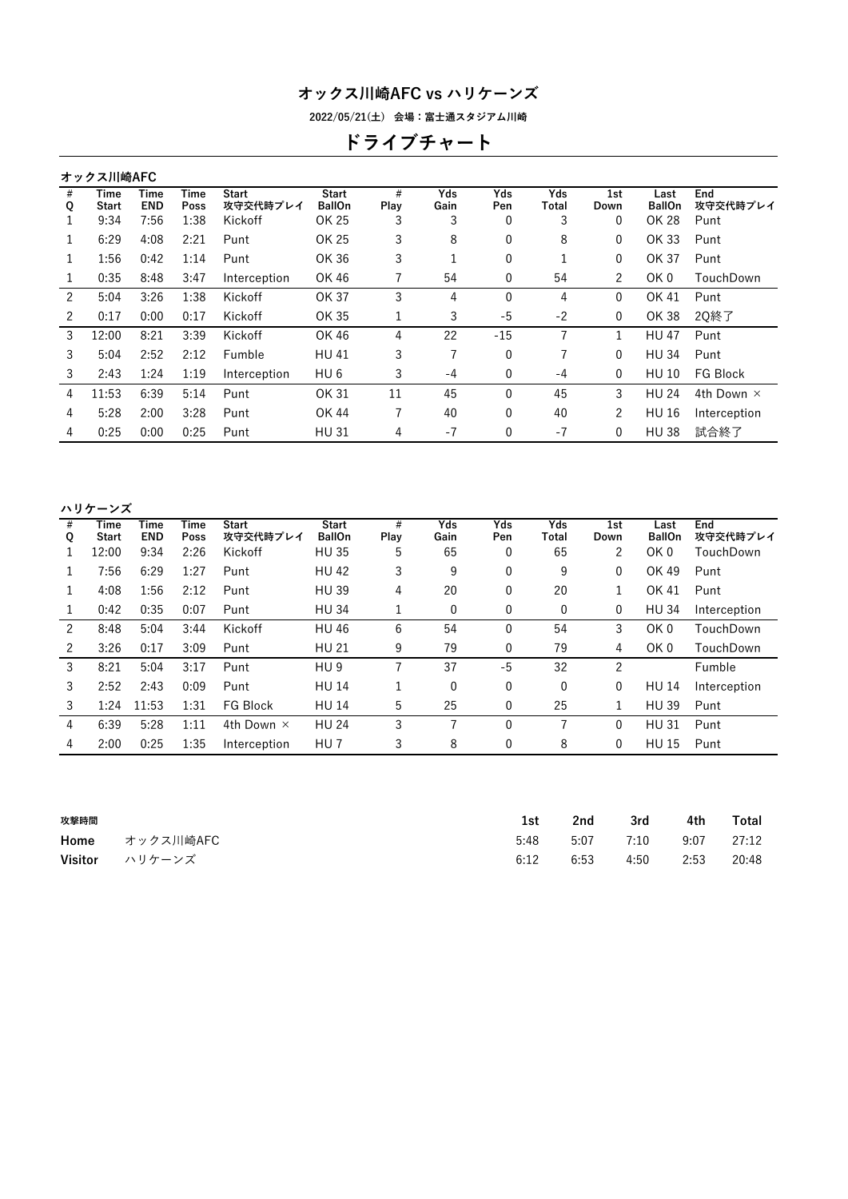**2022/05/21(土) 会場:富士通スタジアム川崎**

# **ドライブチャート**

|        | オックス川崎AFC     |                    |              |                          |                               |           |             |              |              |             |                       |                   |
|--------|---------------|--------------------|--------------|--------------------------|-------------------------------|-----------|-------------|--------------|--------------|-------------|-----------------------|-------------------|
| #<br>Q | Time<br>Start | Time<br><b>END</b> | Time<br>Poss | <b>Start</b><br>攻守交代時プレイ | <b>Start</b><br><b>BallOn</b> | #<br>Play | Yds<br>Gain | Yds<br>Pen   | Yds<br>Total | 1st<br>Down | Last<br><b>BallOn</b> | End<br>攻守交代時プレイ   |
|        | 9:34          | 7:56               | 1:38         | Kickoff                  | OK 25                         | 3         | 3           | 0            | 3            | 0           | OK 28                 | Punt              |
| 1      | 6:29          | 4:08               | 2:21         | Punt                     | OK 25                         | 3         | 8           | 0            | 8            | 0           | OK 33                 | Punt              |
| 1      | 1:56          | 0:42               | 1:14         | Punt                     | OK 36                         | 3         |             | $\mathbf{0}$ | 1            | 0           | OK 37                 | Punt              |
|        | 0:35          | 8:48               | 3:47         | Interception             | OK 46                         | 7         | 54          | 0            | 54           | 2           | OK 0                  | TouchDown         |
| 2      | 5:04          | 3:26               | 1:38         | Kickoff                  | OK 37                         | 3         | 4           | $\Omega$     | 4            | 0           | OK 41                 | Punt              |
| 2      | 0:17          | 0:00               | 0:17         | Kickoff                  | OK 35                         | 1         | 3           | -5           | $-2$         | 0           | OK 38                 | 2Q終了              |
| 3      | 12:00         | 8:21               | 3:39         | Kickoff                  | OK 46                         | 4         | 22          | $-15$        |              | 1           | <b>HU 47</b>          | Punt              |
| 3      | 5:04          | 2:52               | 2:12         | Fumble                   | <b>HU41</b>                   | 3         | 7           | $\mathbf{0}$ | 7            | 0           | <b>HU 34</b>          | Punt              |
| 3      | 2:43          | 1:24               | 1:19         | Interception             | HU <sub>6</sub>               | 3         | -4          | 0            | $-4$         | 0           | <b>HU 10</b>          | FG Block          |
| 4      | 11:53         | 6:39               | 5:14         | Punt                     | OK 31                         | 11        | 45          | 0            | 45           | 3           | <b>HU 24</b>          | 4th Down $\times$ |
| 4      | 5:28          | 2:00               | 3:28         | Punt                     | OK 44                         | 7         | 40          | $\mathbf{0}$ | 40           | 2           | <b>HU 16</b>          | Interception      |
| 4      | 0:25          | 0:00               | 0:25         | Punt                     | <b>HU31</b>                   | 4         | $-7$        | 0            | $-7$         | 0           | <b>HU38</b>           | 試合終了              |
|        |               |                    |              |                          |                               |           |             |              |              |             |                       |                   |

| ハリケーンズ |  |  |  |
|--------|--|--|--|
|        |  |  |  |

| #<br>Q | Time<br>Start | Time<br><b>END</b> | Time<br>Poss | <b>Start</b><br>攻守交代時プレイ | <b>Start</b><br><b>BallOn</b> | #<br>Play | Yds<br>Gain | Yds<br>Pen | Yds<br>Total | 1st<br>Down | Last<br><b>BallOn</b> | End<br>攻守交代時プレイ |
|--------|---------------|--------------------|--------------|--------------------------|-------------------------------|-----------|-------------|------------|--------------|-------------|-----------------------|-----------------|
|        | 12:00         | 9:34               | 2:26         | Kickoff                  | <b>HU 35</b>                  | 5         | 65          | 0          | 65           | 2           | OK <sub>0</sub>       | TouchDown       |
|        | 7:56          | 6:29               | 1:27         | Punt                     | <b>HU 42</b>                  | 3         | 9           | 0          | 9            | 0           | OK 49                 | Punt            |
|        | 4:08          | 1:56               | 2:12         | Punt                     | <b>HU39</b>                   | 4         | 20          | 0          | 20           |             | OK 41                 | Punt            |
|        | 0:42          | 0:35               | 0:07         | Punt                     | <b>HU 34</b>                  |           | 0           | 0          | 0            | 0           | <b>HU 34</b>          | Interception    |
| 2      | 8:48          | 5:04               | 3:44         | Kickoff                  | <b>HU 46</b>                  | 6         | 54          | $\Omega$   | 54           | 3           | OK <sub>0</sub>       | TouchDown       |
| 2      | 3:26          | 0:17               | 3:09         | Punt                     | <b>HU 21</b>                  | 9         | 79          | 0          | 79           | 4           | OK <sub>0</sub>       | TouchDown       |
| 3      | 8:21          | 5:04               | 3:17         | Punt                     | HU <sub>9</sub>               |           | 37          | -5         | 32           | 2           |                       | Fumble          |
| 3      | 2:52          | 2:43               | 0:09         | Punt                     | <b>HU 14</b>                  |           | 0           | 0          | $\mathbf{0}$ | 0           | <b>HU 14</b>          | Interception    |
| 3      | 1:24          | 11:53              | 1:31         | FG Block                 | <b>HU 14</b>                  | 5         | 25          | 0          | 25           |             | <b>HU 39</b>          | Punt            |
| 4      | 6:39          | 5:28               | 1:11         | 4th Down $\times$        | <b>HU 24</b>                  | 3         | 7           | $\Omega$   | 7            | 0           | <b>HU31</b>           | Punt            |
| 4      | 2:00          | 0:25               | 1:35         | Interception             | HU <sub>7</sub>               | 3         | 8           | 0          | 8            | 0           | <b>HU 15</b>          | Punt            |
|        |               |                    |              |                          |                               |           |             |            |              |             |                       |                 |

| 攻撃時間 |                | 1st  | 2nd  | 3rd  | 4th  | Total |
|------|----------------|------|------|------|------|-------|
|      | Home オックス川崎AFC | 5:48 | 5:07 | 7:10 | 9:07 | 27:12 |
|      | Visitor ハリケーンズ | 6:12 | 6:53 | 4:50 | 2:53 | 20:48 |
|      |                |      |      |      |      |       |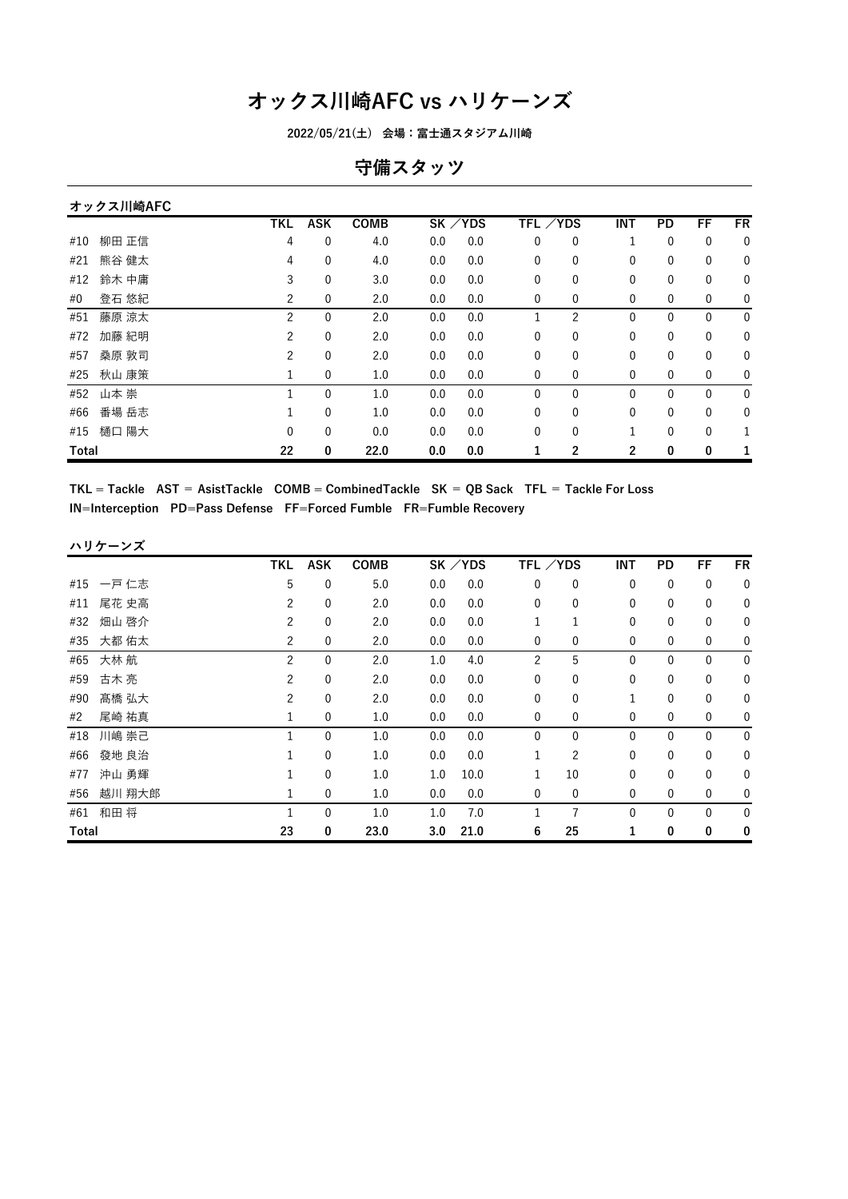**2022/05/21(土) 会場:富士通スタジアム川崎**

### **守備スタッツ**

|       | オックス川崎AFC |            |             |             |     |           |                 |                |                |              |              |             |
|-------|-----------|------------|-------------|-------------|-----|-----------|-----------------|----------------|----------------|--------------|--------------|-------------|
|       |           | <b>TKL</b> | <b>ASK</b>  | <b>COMB</b> |     | $SK$ /YDS | <b>TFL /YDS</b> |                | <b>INT</b>     | PD           | FF           | <b>FR</b>   |
| #10   | 柳田 正信     | 4          | 0           | 4.0         | 0.0 | 0.0       | 0               | 0              | 1              | 0            | 0            | $\mathbf 0$ |
| #21   | 熊谷 健太     | 4          | 0           | 4.0         | 0.0 | 0.0       | 0               | 0              | $\mathbf{0}$   | 0            | 0            | 0           |
| #12   | 鈴木 中庸     | 3          | 0           | 3.0         | 0.0 | 0.0       | 0               | 0              | 0              | 0            | 0            | $\mathbf 0$ |
| #0    | 登石 悠紀     | 2          | 0           | 2.0         | 0.0 | 0.0       | 0               | 0              | 0              | 0            | 0            | 0           |
| #51   | 藤原 涼太     | 2          | $\mathbf 0$ | 2.0         | 0.0 | 0.0       |                 | $\overline{c}$ | $\mathbf{0}$   | $\mathbf{0}$ | $\mathbf{0}$ | $\mathbf 0$ |
| #72   | 加藤 紀明     | 2          | $\mathbf 0$ | 2.0         | 0.0 | 0.0       | 0               | $\mathbf 0$    | 0              | 0            | 0            | $\mathbf 0$ |
| #57   | 桑原 敦司     | 2          | $\mathbf 0$ | 2.0         | 0.0 | 0.0       | 0               | $\mathbf{0}$   | $\mathbf{0}$   | 0            | 0            | 0           |
| #25   | 秋山 康策     | 1          | 0           | 1.0         | 0.0 | 0.0       | 0               | $\mathbf{0}$   | $\mathbf{0}$   | 0            | 0            | $\mathbf 0$ |
| #52   | 山本 崇      |            | 0           | 1.0         | 0.0 | 0.0       | 0               | 0              | $\mathbf{0}$   | 0            | $\mathbf{0}$ | $\mathbf 0$ |
| #66   | 番場 岳志     |            | $\mathbf 0$ | 1.0         | 0.0 | 0.0       | 0               | 0              | $\mathbf{0}$   | 0            | $\mathbf{0}$ | 0           |
| #15   | 樋口 陽大     | 0          | 0           | 0.0         | 0.0 | 0.0       | 0               | 0              |                | 0            | 0            |             |
| Total |           | 22         | 0           | 22.0        | 0.0 | 0.0       |                 | $\overline{2}$ | $\overline{2}$ | 0            | 0            |             |

 $TKL = Tackle$   $AST = AsistTackle$   $COMB = CombinedTackle$   $SK = QB$   $Sack$   $TFL = Tackle$   $For Loss$ **IN=Interception PD=Pass Defense FF=Forced Fumble FR=Fumble Recovery**

|              | ハリケーンズ    |                |                  |             |     |          |                |                |              |              |              |             |
|--------------|-----------|----------------|------------------|-------------|-----|----------|----------------|----------------|--------------|--------------|--------------|-------------|
|              |           | TKL            | <b>ASK</b>       | <b>COMB</b> |     | SK / YDS |                | TFL /YDS       | <b>INT</b>   | PD           | FF           | <b>FR</b>   |
|              | #15 一戸 仁志 | 5              | 0                | 5.0         | 0.0 | 0.0      | 0              | 0              | $\mathbf 0$  | 0            | $\mathbf 0$  | 0           |
| #11          | 尾花 史高     | $\overline{c}$ | $\mathbf 0$      | 2.0         | 0.0 | 0.0      | 0              | $\mathbf{0}$   | 0            | 0            | $\mathbf 0$  | 0           |
| #32          | 畑山 啓介     | 2              | $\mathbf 0$      | 2.0         | 0.0 | 0.0      |                | $\mathbf{1}$   | 0            | 0            | 0            | 0           |
| #35          | 大都 佑太     | 2              | $\mathbf 0$      | 2.0         | 0.0 | 0.0      | 0              | 0              | $\mathbf 0$  | 0            | 0            | 0           |
| #65          | 大林 航      | $\overline{2}$ | $\mathbf{0}$     | 2.0         | 1.0 | 4.0      | $\overline{c}$ | 5              | $\mathbf{0}$ | $\mathbf{0}$ | $\mathbf{0}$ | $\mathbf 0$ |
| #59          | 古木 亮      | $\overline{c}$ | 0                | 2.0         | 0.0 | 0.0      | $\mathbf{0}$   | $\mathbf{0}$   | $\mathbf{0}$ | 0            | $\mathbf 0$  | 0           |
| #90          | 髙橋 弘大     | 2              | $\mathbf 0$      | 2.0         | 0.0 | 0.0      | 0              | 0              | 1            | $\mathbf 0$  | $\mathbf 0$  | 0           |
| #2           | 尾崎 祐真     | 1              | $\mathbf 0$      | 1.0         | 0.0 | 0.0      | $\mathbf 0$    | 0              | $\mathbf 0$  | 0            | $\mathbf 0$  | 0           |
| #18          | 川嶋 崇己     | $\mathbf{1}$   | $\mathbf{0}$     | 1.0         | 0.0 | 0.0      | 0              | $\mathbf{0}$   | $\mathbf{0}$ | $\mathbf{0}$ | $\mathbf 0$  | $\mathbf 0$ |
| #66          | 發地 良治     | 1              | $\mathbf 0$      | 1.0         | 0.0 | 0.0      | $\mathbf{1}$   | $\overline{2}$ | 0            | 0            | 0            | 0           |
| #77          | 沖山 勇輝     | 1              | $\boldsymbol{0}$ | 1.0         | 1.0 | 10.0     | 1              | 10             | 0            | $\mathbf 0$  | $\mathbf 0$  | 0           |
| #56          | 越川 翔大郎    | 1              | $\mathbf 0$      | 1.0         | 0.0 | 0.0      | $\mathbf{0}$   | $\mathbf 0$    | $\mathbf 0$  | 0            | $\mathbf 0$  | 0           |
| #61          | 和田将       | $\mathbf{1}$   | $\mathbf 0$      | 1.0         | 1.0 | 7.0      | 1              | $\overline{7}$ | $\mathbf{0}$ | 0            | $\mathbf 0$  | 0           |
| <b>Total</b> |           | 23             | 0                | 23.0        | 3.0 | 21.0     | 6              | 25             |              | 0            | 0            | 0           |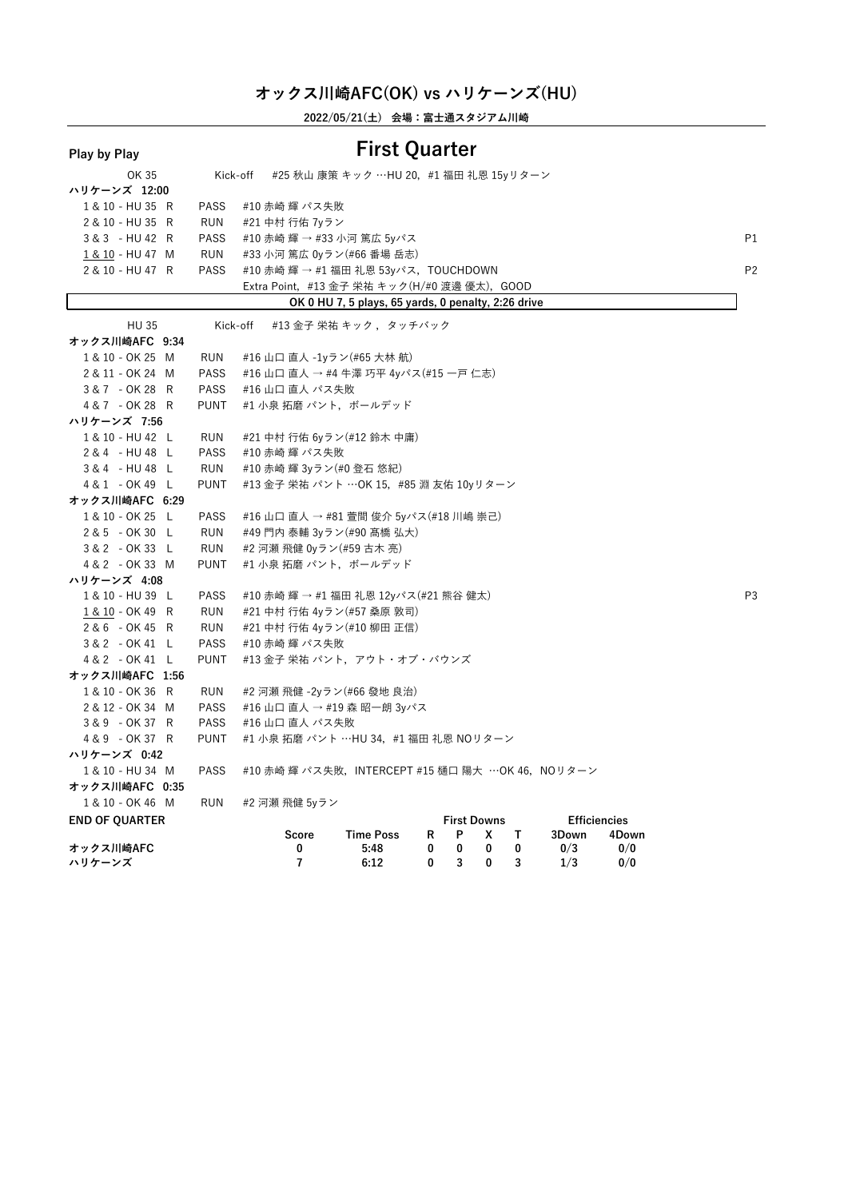**2022/05/21(土) 会場:富士通スタジアム川崎**

| Play by Play          |             | <b>First Quarter</b>                                                                                            |                |
|-----------------------|-------------|-----------------------------------------------------------------------------------------------------------------|----------------|
| OK 35                 | Kick-off    | #25 秋山 康策 キック …HU 20, #1 福田 礼恩 15yリターン                                                                          |                |
| ハリケーンズ 12:00          |             |                                                                                                                 |                |
| 1 & 10 - HU 35 R      | <b>PASS</b> | #10 赤崎 輝 パス失敗                                                                                                   |                |
| 2 & 10 - HU 35 R      | <b>RUN</b>  | #21 中村 行佑 7yラン                                                                                                  |                |
| 3 & 3 - HU 42 R       | <b>PASS</b> | #10 赤崎 輝 → #33 小河 篤広 5yパス                                                                                       | P <sub>1</sub> |
| 1 & 10 - HU 47 M      | <b>RUN</b>  | #33 小河 篤広 0yラン(#66 番場 岳志)                                                                                       |                |
| 2 & 10 - HU 47 R      | <b>PASS</b> | #10 赤崎 輝 → #1 福田 礼恩 53yパス,TOUCHDOWN                                                                             | P2             |
|                       |             | Extra Point, #13 金子 栄祐 キック(H/#0 渡邊 優太),GOOD                                                                     |                |
|                       |             | OK 0 HU 7, 5 plays, 65 yards, 0 penalty, 2:26 drive                                                             |                |
| <b>HU 35</b>          | Kick-off    | #13 金子 栄祐 キック ,タッチバック                                                                                           |                |
| オックス川崎AFC 9:34        |             |                                                                                                                 |                |
| 1 & 10 - OK 25 M      | RUN         | #16 山口 直人 -1yラン(#65 大林 航)                                                                                       |                |
| 2 & 11 - OK 24 M      | <b>PASS</b> | #16 山口 直人 → #4 牛澤 巧平 4yパス(#15 一戸 仁志)                                                                            |                |
| 3&7 - OK 28 R         | <b>PASS</b> | #16 山口 直人 パス失敗                                                                                                  |                |
| 4 & 7 - OK 28 R       | <b>PUNT</b> | #1 小泉 拓磨 パント,ボールデッド                                                                                             |                |
| ハリケーンズ 7:56           |             |                                                                                                                 |                |
| 1 & 10 - HU 42 L      | RUN         | #21 中村 行佑 6yラン(#12 鈴木 中庸)                                                                                       |                |
| 2 & 4 - HU 48 L       | PASS        | #10 赤崎 輝 パス失敗                                                                                                   |                |
| 3&4 - HU 48 L         | RUN         | #10 赤崎 輝 3yラン(#0 登石 悠紀)                                                                                         |                |
| 4 & 1 - OK 49 L       | <b>PUNT</b> | #13 金子 栄祐 パント …OK 15, #85 淵 友佑 10yリターン                                                                          |                |
| オックス川崎AFC 6:29        |             |                                                                                                                 |                |
| 1 & 10 - OK 25 L      | PASS        | #16 山口 直人 → #81 萱間 俊介 5yパス(#18 川嶋 崇己)                                                                           |                |
| 2 & 5 - OK 30 L       | <b>RUN</b>  | #49 門内 泰輔 3yラン(#90 髙橋 弘大)                                                                                       |                |
| 3 & 2 - OK 33 L       | <b>RUN</b>  | #2 河瀬 飛健 0yラン(#59 古木 亮)                                                                                         |                |
| 4 & 2 - OK 33 M       | <b>PUNT</b> | #1 小泉 拓磨 パント, ボールデッド                                                                                            |                |
| ハリケーンズ 4:08           |             |                                                                                                                 |                |
| 1 & 10 - HU 39 L      | <b>PASS</b> | #10 赤崎 輝 → #1 福田 礼恩 12yパス(#21 熊谷 健太)                                                                            | P3             |
| 1 & 10 - OK 49 R      | <b>RUN</b>  | #21 中村 行佑 4yラン(#57 桑原 敦司)                                                                                       |                |
| 2 & 6 - OK 45 R       | <b>RUN</b>  | #21 中村 行佑 4yラン(#10 柳田 正信)                                                                                       |                |
| 3 & 2 - OK 41 L       | <b>PASS</b> | #10 赤崎 輝 パス失敗                                                                                                   |                |
| 4 & 2 - OK 41 L       | <b>PUNT</b> | #13 金子 栄祐 パント,アウト・オブ・バウンズ                                                                                       |                |
| オックス川崎AFC 1:56        |             |                                                                                                                 |                |
| 1 & 10 - OK 36 R      | <b>RUN</b>  | #2 河瀬 飛健 -2yラン(#66 發地 良治)                                                                                       |                |
| 2 & 12 - OK 34 M      | <b>PASS</b> | #16 山口 直人 → #19 森 昭一朗 3yパス                                                                                      |                |
| 3&9 - OK 37 R         | <b>PASS</b> | #16 山口 直人 パス失敗                                                                                                  |                |
| 4&9 - OK 37 R         | <b>PUNT</b> | #1 小泉 拓磨 パント …HU 34,#1 福田 礼恩 NOリターン                                                                             |                |
| ハリケーンズ 0:42           |             |                                                                                                                 |                |
| 1 & 10 - HU 34 M      | <b>PASS</b> | #10 赤崎 輝 パス失敗, INTERCEPT #15 樋口 陽大 …OK 46, NOリターン                                                               |                |
| オックス川崎AFC 0:35        |             |                                                                                                                 |                |
| 1 & 10 - OK 46 M      | <b>RUN</b>  | #2 河瀬 飛健 5yラン                                                                                                   |                |
| <b>END OF QUARTER</b> |             | <b>Efficiencies</b><br><b>First Downs</b>                                                                       |                |
| オックス川崎AFC             |             | <b>Time Poss</b><br>Score<br>R<br>P<br>x<br>T.<br>3Down<br>4Down<br>0<br>5:48<br>0<br>0<br>0<br>0/3<br>0/0<br>0 |                |
| ハリケーンズ                |             | $\overline{7}$<br>3<br>6:12<br>0<br>3<br>1/3<br>0/0<br>0                                                        |                |
|                       |             |                                                                                                                 |                |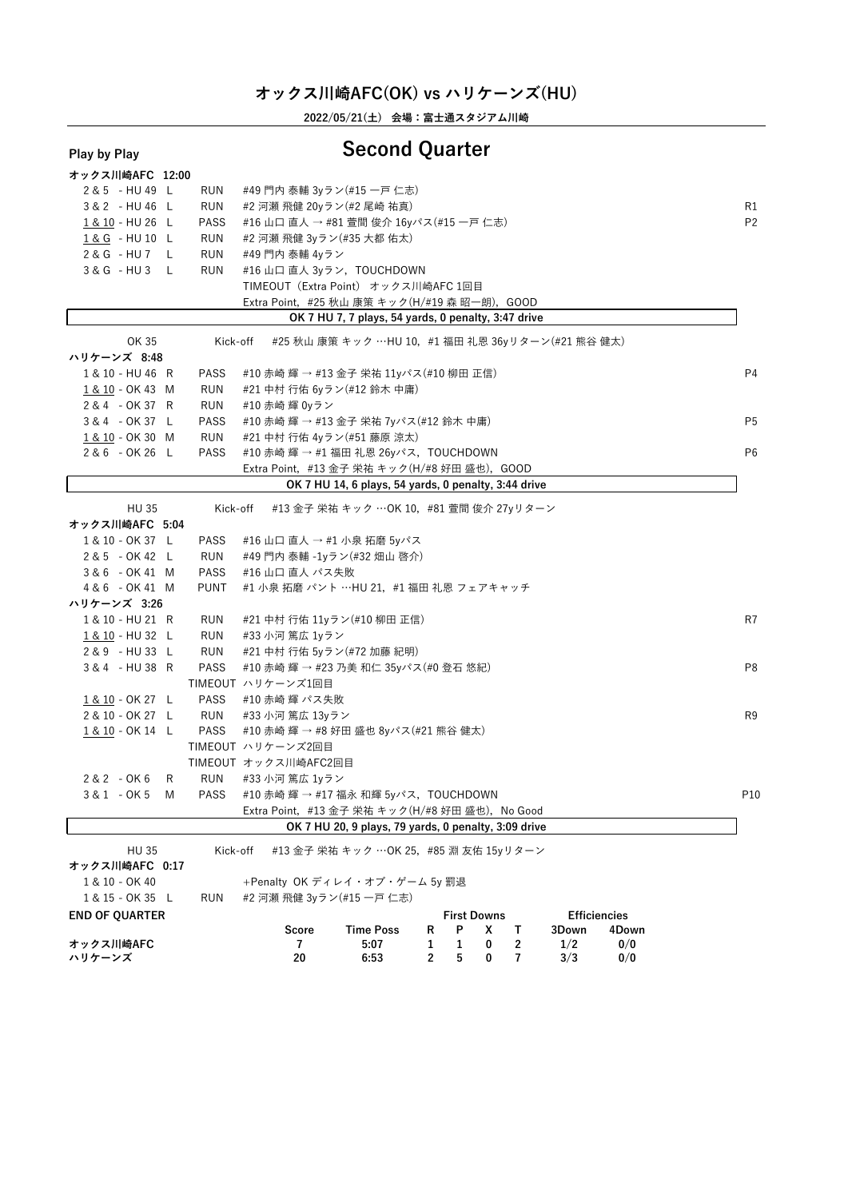**2022/05/21(土) 会場:富士通スタジアム川崎**

# **Play by Play Second Quarter**

| riay by riay |  |  |
|--------------|--|--|
|              |  |  |

| オックス川崎AFC 12:00                |      |             |                                                |                                                      |   |                    |   |   |       |                     |                |
|--------------------------------|------|-------------|------------------------------------------------|------------------------------------------------------|---|--------------------|---|---|-------|---------------------|----------------|
| 2 & 5 - HU 49 L                |      | <b>RUN</b>  | #49 門内 泰輔 3yラン(#15 一戸 仁志)                      |                                                      |   |                    |   |   |       |                     |                |
| 3 & 2 - HU 46 L                |      | <b>RUN</b>  | #2 河瀬 飛健 20yラン(#2 尾崎 祐真)                       |                                                      |   |                    |   |   |       |                     | R1             |
| 1 & 10 - HU 26 L               |      | <b>PASS</b> | #16 山口 直人 → #81 萱間 俊介 16yパス(#15 一戸 仁志)         |                                                      |   |                    |   |   |       |                     | P <sub>2</sub> |
| 1& G - HU 10 L                 |      | RUN         | #2 河瀬 飛健 3yラン(#35 大都 佑太)                       |                                                      |   |                    |   |   |       |                     |                |
| $2 & G - H U 7 L$              |      | <b>RUN</b>  | #49 門内 泰輔 4yラン                                 |                                                      |   |                    |   |   |       |                     |                |
| $3 & G - H U 3$                | - Li | <b>RUN</b>  | #16 山口 直人 3yラン,TOUCHDOWN                       |                                                      |   |                    |   |   |       |                     |                |
|                                |      |             | TIMEOUT (Extra Point) オックス川崎AFC 1回目            |                                                      |   |                    |   |   |       |                     |                |
|                                |      |             | Extra Point, #25 秋山 康策 キック(H/#19 森 昭一朗), GOOD  |                                                      |   |                    |   |   |       |                     |                |
|                                |      |             |                                                | OK 7 HU 7, 7 plays, 54 yards, 0 penalty, 3:47 drive  |   |                    |   |   |       |                     |                |
| OK 35                          |      | Kick-off    |                                                | #25 秋山 康策 キック …HU 10, #1 福田 礼恩 36yリターン(#21 熊谷 健太)    |   |                    |   |   |       |                     |                |
| ハリケーンズ 8:48                    |      |             |                                                |                                                      |   |                    |   |   |       |                     |                |
| 1 & 10 - HU 46 R               |      | PASS        | #10 赤崎 輝 → #13 金子 栄祐 11yパス(#10 柳田 正信)          |                                                      |   |                    |   |   |       |                     | P <sub>4</sub> |
| 1 & 10 - OK 43 M               |      | <b>RUN</b>  | #21 中村 行佑 6yラン(#12 鈴木 中庸)                      |                                                      |   |                    |   |   |       |                     |                |
| 2 & 4 - OK 37 R                |      | RUN         | #10 赤崎 輝 0yラン                                  |                                                      |   |                    |   |   |       |                     |                |
| 3 & 4 - OK 37 L                |      | PASS        | #10 赤崎 輝 → #13 金子 栄祐 7yパス(#12 鈴木 中庸)           |                                                      |   |                    |   |   |       |                     | P <sub>5</sub> |
| 1 & 10 - OK 30 M               |      | RUN         | #21 中村 行佑 4yラン(#51 藤原 涼太)                      |                                                      |   |                    |   |   |       |                     |                |
| 2 & 6 - OK 26 L                |      | <b>PASS</b> | #10 赤崎 輝 → #1 福田 礼恩 26yパス, TOUCHDOWN           |                                                      |   |                    |   |   |       |                     | P <sub>6</sub> |
|                                |      |             | Extra Point, #13 金子 栄祐 キック(H/#8 好田 盛也), GOOD   |                                                      |   |                    |   |   |       |                     |                |
|                                |      |             |                                                | OK 7 HU 14, 6 plays, 54 yards, 0 penalty, 3:44 drive |   |                    |   |   |       |                     |                |
|                                |      |             |                                                | #13 金子 栄祐 キック …OK 10, #81 萱間 俊介 27yリターン              |   |                    |   |   |       |                     |                |
| <b>HU 35</b><br>オックス川崎AFC 5:04 |      | Kick-off    |                                                |                                                      |   |                    |   |   |       |                     |                |
|                                |      |             |                                                |                                                      |   |                    |   |   |       |                     |                |
| 1 & 10 - OK 37 L               |      | PASS        | #16 山口 直人 → #1 小泉 拓磨 5yパス                      |                                                      |   |                    |   |   |       |                     |                |
| 2 & 5 - OK 42 L                |      | RUN         | #49 門内 泰輔 -1yラン(#32 畑山 啓介)                     |                                                      |   |                    |   |   |       |                     |                |
| 3&6 - OK 41 M                  |      | <b>PASS</b> | #16 山口 直人 パス失敗                                 |                                                      |   |                    |   |   |       |                     |                |
| 4 & 6 - OK 41 M                |      | <b>PUNT</b> | #1 小泉 拓磨 パント …HU 21,#1 福田 礼恩 フェアキャッチ           |                                                      |   |                    |   |   |       |                     |                |
| ハリケーンズ 3:26                    |      |             |                                                |                                                      |   |                    |   |   |       |                     |                |
| 1 & 10 - HU 21 R               |      | RUN         | #21 中村 行佑 11yラン(#10 柳田 正信)                     |                                                      |   |                    |   |   |       |                     | R7             |
| 1 & 10 - HU 32 L               |      | <b>RUN</b>  | #33 小河 篤広 1yラン                                 |                                                      |   |                    |   |   |       |                     |                |
| 2 & 9 - HU 33 L                |      | <b>RUN</b>  | #21 中村 行佑 5yラン(#72 加藤 紀明)                      |                                                      |   |                    |   |   |       |                     |                |
| 3&4 - HU 38 R                  |      | <b>PASS</b> | #10 赤崎 輝 → #23 乃美 和仁 35yパス(#0 登石 悠紀)           |                                                      |   |                    |   |   |       |                     | P8             |
|                                |      |             | TIMEOUT ハリケーンズ1回目                              |                                                      |   |                    |   |   |       |                     |                |
| 1 & 10 - OK 27 L               |      | PASS        | #10 赤崎 輝 パス失敗                                  |                                                      |   |                    |   |   |       |                     |                |
| 2 & 10 - OK 27 L               |      | <b>RUN</b>  | #33 小河 篤広 13yラン                                |                                                      |   |                    |   |   |       |                     | R <sub>9</sub> |
| 1 & 10 - OK 14 L               |      | PASS        | #10 赤崎 輝 → #8 好田 盛也 8yパス(#21 熊谷 健太)            |                                                      |   |                    |   |   |       |                     |                |
|                                |      |             | TIMEOUT ハリケーンズ2回目                              |                                                      |   |                    |   |   |       |                     |                |
|                                |      |             | TIMEOUT オックス川崎AFC2回目                           |                                                      |   |                    |   |   |       |                     |                |
| $2 & 2 - OK & 6$               | R    | RUN         | #33 小河 篤広 1yラン                                 |                                                      |   |                    |   |   |       |                     |                |
| 3 & 1 - OK 5                   | M    | <b>PASS</b> | #10 赤崎 輝 → #17 福永 和輝 5yパス, TOUCHDOWN           |                                                      |   |                    |   |   |       |                     | P10            |
|                                |      |             | Extra Point, #13 金子 栄祐 キック(H/#8 好田 盛也),No Good |                                                      |   |                    |   |   |       |                     |                |
|                                |      |             |                                                | OK 7 HU 20, 9 plays, 79 yards, 0 penalty, 3:09 drive |   |                    |   |   |       |                     |                |
| <b>HU 35</b>                   |      | Kick-off    |                                                | #13 金子 栄祐 キック …OK 25, #85 淵 友佑 15yリターン               |   |                    |   |   |       |                     |                |
| オックス川崎AFC 0:17                 |      |             |                                                |                                                      |   |                    |   |   |       |                     |                |
| 1 & 10 - OK 40                 |      |             | +Penalty OK ディレイ・オブ・ゲーム 5y 罰退                  |                                                      |   |                    |   |   |       |                     |                |
| 1 & 15 - OK 35 L               |      | RUN         | #2 河瀬 飛健 3yラン(#15 一戸 仁志)                       |                                                      |   |                    |   |   |       |                     |                |
| <b>END OF QUARTER</b>          |      |             |                                                |                                                      |   | <b>First Downs</b> |   |   |       | <b>Efficiencies</b> |                |
|                                |      |             | Score                                          | <b>Time Poss</b>                                     | R | Ρ                  | x | Т | 3Down | 4Down               |                |
| オックス川崎AFC                      |      |             | 7                                              | 5:07                                                 | 1 | 1                  | 0 | 2 | 1/2   | 0/0                 |                |
| ハリケーンズ                         |      |             | 20                                             | 6:53                                                 | 2 | 5                  | 0 | 7 | 3/3   | 0/0                 |                |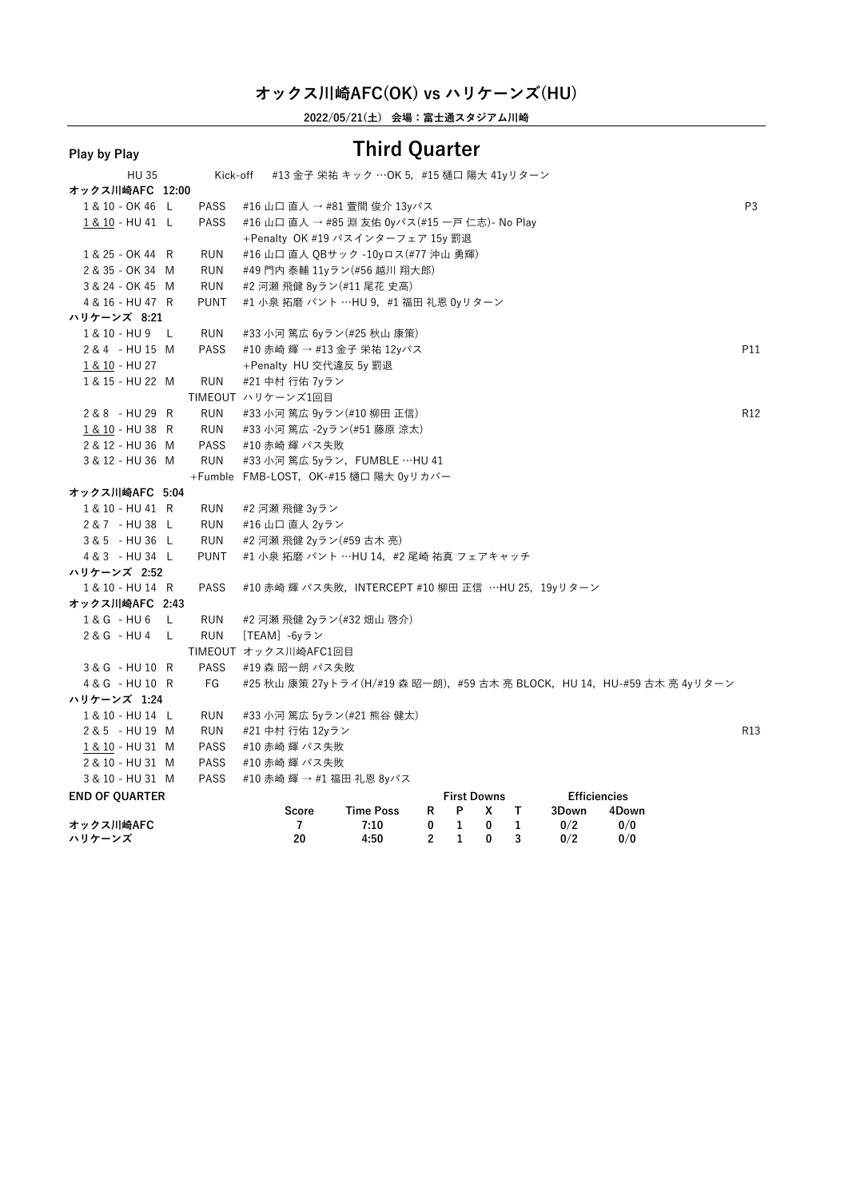**2022/05/21(土) 会場:富士通スタジアム川崎**

| i lay by i lay        |             |                                                                       |                                       |                |                    |   |              |                     |       |                |
|-----------------------|-------------|-----------------------------------------------------------------------|---------------------------------------|----------------|--------------------|---|--------------|---------------------|-------|----------------|
| HU 35                 | Kick-off    |                                                                       | #13 金子 栄祐 キック …OK 5,#15 樋口 陽大 41yリターン |                |                    |   |              |                     |       |                |
| オックス川崎AFC 12:00       |             |                                                                       |                                       |                |                    |   |              |                     |       |                |
| 1 & 10 - OK 46 L      | <b>PASS</b> | #16 山口 直人 → #81 萱間 俊介 13yパス                                           |                                       |                |                    |   |              |                     |       | P <sub>3</sub> |
| 1 & 10 - HU 41 L      | <b>PASS</b> | #16 山口 直人 → #85 淵 友佑 0yパス(#15 一戸 仁志)- No Play                         |                                       |                |                    |   |              |                     |       |                |
|                       |             | +Penalty OK #19 パスインターフェア 15y 罰退                                      |                                       |                |                    |   |              |                     |       |                |
| 1 & 25 - OK 44 R      | <b>RUN</b>  | #16 山口 直人 QBサック -10yロス(#77 沖山 勇輝)                                     |                                       |                |                    |   |              |                     |       |                |
| 2 & 35 - OK 34 M      | <b>RUN</b>  | #49 門内 泰輔 11yラン(#56 越川 翔大郎)                                           |                                       |                |                    |   |              |                     |       |                |
| 3 & 24 - OK 45 M      | <b>RUN</b>  | #2 河瀬 飛健 8yラン(#11 尾花 史高)                                              |                                       |                |                    |   |              |                     |       |                |
| 4 & 16 - HU 47 R      | <b>PUNT</b> | #1 小泉 拓磨 パント …HU 9,#1 福田 礼恩 0yリターン                                    |                                       |                |                    |   |              |                     |       |                |
| ハリケーンズ 8:21           |             |                                                                       |                                       |                |                    |   |              |                     |       |                |
| 1 & 10 - HU 9 L       | <b>RUN</b>  | #33 小河 篤広 6yラン(#25 秋山 康策)                                             |                                       |                |                    |   |              |                     |       |                |
| 2 & 4 - HU 15 M       | <b>PASS</b> | #10 赤崎 輝 → #13 金子 栄祐 12yパス                                            |                                       |                |                    |   |              |                     |       | P11            |
| 1 & 10 - HU 27        |             | +Penalty HU 交代違反 5y 罰退                                                |                                       |                |                    |   |              |                     |       |                |
| 1 & 15 - HU 22 M      | <b>RUN</b>  | #21 中村 行佑 7yラン                                                        |                                       |                |                    |   |              |                     |       |                |
|                       |             | TIMEOUT ハリケーンズ1回目                                                     |                                       |                |                    |   |              |                     |       |                |
| 2 & 8 - HU 29 R       | <b>RUN</b>  | #33 小河 篤広 9yラン(#10 柳田 正信)                                             |                                       |                |                    |   |              |                     |       | R12            |
| $1 & 10 - HU 38$ R    | <b>RUN</b>  | #33 小河 篤広 -2yラン(#51 藤原 涼太)                                            |                                       |                |                    |   |              |                     |       |                |
| 2 & 12 - HU 36 M      | <b>PASS</b> | #10 赤崎 輝 パス失敗                                                         |                                       |                |                    |   |              |                     |       |                |
| 3 & 12 - HU 36 M      | <b>RUN</b>  | #33 小河 篤広 5yラン, FUMBLE …HU 41                                         |                                       |                |                    |   |              |                     |       |                |
|                       |             | +Fumble FMB-LOST, OK-#15 樋口 陽大 0yリカバー                                 |                                       |                |                    |   |              |                     |       |                |
| オックス川崎AFC 5:04        |             |                                                                       |                                       |                |                    |   |              |                     |       |                |
| 1 & 10 - HU 41 R      | <b>RUN</b>  | #2 河瀬 飛健 3yラン                                                         |                                       |                |                    |   |              |                     |       |                |
| 2 & 7 - HU 38 L       | <b>RUN</b>  | #16 山口 直人 2yラン                                                        |                                       |                |                    |   |              |                     |       |                |
| 3 & 5 - HU 36 L       | <b>RUN</b>  | #2 河瀬 飛健 2yラン(#59 古木 亮)                                               |                                       |                |                    |   |              |                     |       |                |
| 4&3 - HU 34 L         | <b>PUNT</b> | #1 小泉 拓磨 パント …HU 14,#2 尾崎 祐真 フェアキャッチ                                  |                                       |                |                    |   |              |                     |       |                |
| ハリケーンズ 2:52           |             |                                                                       |                                       |                |                    |   |              |                     |       |                |
| 1 & 10 - HU 14 R      | <b>PASS</b> | #10 赤崎 輝 パス失敗,INTERCEPT #10 柳田 正信 …HU 25,19yリターン                      |                                       |                |                    |   |              |                     |       |                |
| オックス川崎AFC 2:43        |             |                                                                       |                                       |                |                    |   |              |                     |       |                |
| 1& G - HU 6 L         | <b>RUN</b>  | #2 河瀬 飛健 2yラン(#32 畑山 啓介)                                              |                                       |                |                    |   |              |                     |       |                |
| 2& G - HU 4 L         | <b>RUN</b>  | 「TEAM]-6yラン                                                           |                                       |                |                    |   |              |                     |       |                |
|                       |             | TIMEOUT オックス川崎AFC1回目                                                  |                                       |                |                    |   |              |                     |       |                |
| 3 & G - HU 10 R       | <b>PASS</b> | #19 森 昭一朗 パス失敗                                                        |                                       |                |                    |   |              |                     |       |                |
| 4 & G - HU 10 R       | FG          | #25 秋山 康策 27yトライ(H/#19 森 昭一朗),#59 古木 亮 BLOCK,HU 14,HU-#59 古木 亮 4yリターン |                                       |                |                    |   |              |                     |       |                |
| ハリケーンズ 1:24           |             |                                                                       |                                       |                |                    |   |              |                     |       |                |
| 1 & 10 - HU 14 L      | <b>RUN</b>  | #33 小河 篤広 5yラン(#21 熊谷 健太)                                             |                                       |                |                    |   |              |                     |       |                |
| 2 & 5 - HU 19 M       | <b>RUN</b>  | #21 中村 行佑 12yラン                                                       |                                       |                |                    |   |              |                     |       | R13            |
| 1 & 10 - HU 31 M      | <b>PASS</b> | #10 赤崎 輝 パス失敗                                                         |                                       |                |                    |   |              |                     |       |                |
| 2 & 10 - HU 31 M      | <b>PASS</b> | #10 赤崎 輝 パス失敗                                                         |                                       |                |                    |   |              |                     |       |                |
| 3 & 10 - HU 31 M      | <b>PASS</b> | #10 赤崎 輝 → #1 福田 礼恩 8yパス                                              |                                       |                |                    |   |              |                     |       |                |
| <b>END OF QUARTER</b> |             |                                                                       |                                       |                | <b>First Downs</b> |   |              | <b>Efficiencies</b> |       |                |
|                       |             | Score                                                                 | <b>Time Poss</b>                      | R              | P                  | x | T            | 3Down               | 4Down |                |
| オックス川崎AFC             |             | 7                                                                     | 7:10                                  | 0              | 1                  | 0 | $\mathbf{1}$ | 0/2                 | 0/0   |                |
| ハリケーンズ                |             | 20                                                                    | 4:50                                  | $\overline{2}$ | 1                  | 0 | 3            | 0/2                 | 0/0   |                |
|                       |             |                                                                       |                                       |                |                    |   |              |                     |       |                |

### **Play by Play Third Quarter**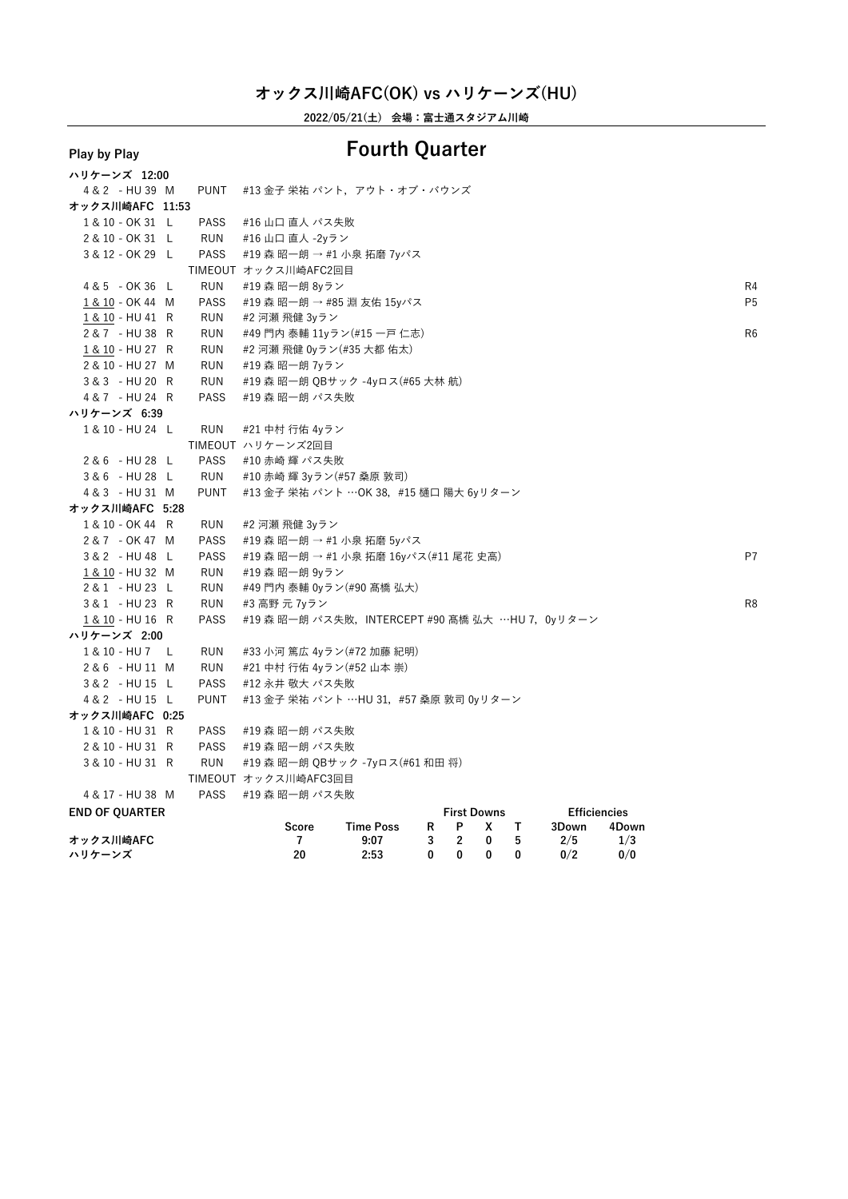**2022/05/21(土) 会場:富士通スタジアム川崎**

### **ハリケーンズ 12:00** 4 & 2 - HU 39 M PUNT #13 金子 栄祐 パント, アウト・オブ・バウンズ **オックス川崎AFC 11:53** 1 & 10 - OK 31 L PASS #16 山口 直人 パス失敗<br>2 & 10 - OK 31 L RUN #16 山口 直人 -2vラン 2 & 10 - OK 31 L RUN #16 山口 直人 -2yラン<br>3 & 12 - OK 29 L PASS #19 森 昭一朗 → #1 小 #19 森 昭一朗 → #1 小泉 拓磨 7yパス TIMEOUT オックス川崎AFC2回目 4&5 - OK 36 L RUN #19 森 昭一朗 8yラン<br><u>1&10</u>-OK 44 M PASS #19 森 昭一朗 → #85 淵 友佑 15yパス P5 <u>1 & 10</u> - OK 44 M PASS #19 森 昭一朗 → #85 淵 友佑 15yパス<br><u>1 & 10</u> - HU 41 R RUN #2 河瀬 飛健 3yラン 1 & 10 - HU 41 R RUN #2 河瀬 飛健 3yラン<br>2 & 7 - HU 38 R RUN #49 門内 泰輔 11yラ 2 & 7 - HU 38 R RUN #49 門内 泰輔 11yラン(#15 一戸 仁志)<br>1&10-HU 27 R RUN #2 河瀬 飛健 0yラン(#35 大都 佑太) 1 & 10 - HU 27 R RUN #2 河瀬 飛健 0yラン(#35 大都 佑太)<br>2 & 10 - HU 27 M RUN #19 森 昭一朗 7yラン 2 & 10 - HU 27 M RUN #19 森 昭一朗 7yラン<br>3 & 3 - HU 20 R RUN #19 森 昭一朗 OBサッ 3 & 3 - HU 20 R RUN #19 森 昭一朗 QBサック -4yロス(#65 大林 航)<br>4 & 7 - HU 24 R PASS #19 森 昭一朗 パス失敗 PASS #19 森 昭一朗 パス失敗 **ハリケーンズ 6:39** <sup>1</sup> & <sup>10</sup> - HU <sup>24</sup> <sup>L</sup> RUN #21 中村 行佑 4yラン TIMEOUT ハリケーンズ2回目 2 & 6 - HU 28 L PASS #10 赤崎 輝 パス失敗<br>3 & 6 - HU 28 L RUN #10 赤崎 輝 3yラン(#57 桑原 敦司) 3 & 6 - HU 28 L RUN #10 赤崎 輝 3yラン(#57 桑原 敦司)<br>- 4 & 3 - HU 31 M PUNT #13 全子 学社 パント …OK 38 # <sup>4</sup> & <sup>3</sup> - HU <sup>31</sup> <sup>M</sup> PUNT #13 金子 栄祐 パント …OK 38,#15 樋口 陽大 6yリターン **オックス川崎AFC 5:28** 1 & 10 - OK 44 R RUN #2 河瀬 飛健 3yラン<br>2 & 7 - OK 47 M PASS #19 森 昭一朗 → #1 小泉 拓磨 5vパス 2 & 7 - OK 47 M PASS #19 森 昭一朗 → #1 小泉 拓磨 5yパス<br>- 3 & 2 - HIT48 L PASS #10 泰 昭一朗 → #1 小息 坛藤 16yパ 3 & 2 - HU 48 L PASS #19 森 昭一朗 → #1 小泉 拓磨 16yパス(#11 尾花 史高) P7<br>1 8. 10 -HU 32 M PUN #10 本 昭一朗 9yラン 1 <u>& 10</u> - HU 32 M RUN #19 森 昭一朗 9yラン<br>2 & 1 - HU 23 L RUN #49 門内 泰輔 0vラン 2 & 1 - HU 23 L RUN #49 門内 泰輔 0yラン(#90 髙橋 弘大)<br>3 & 1 - HU 23 R RUN #3 高野 元 7yラン <sup>3</sup> & <sup>1</sup> - HU <sup>23</sup> <sup>R</sup> RUN #3 高野 <sup>元</sup> 7yラン R8 \_ <u>1 & 10</u> - HU 16 R PASS #19 森 昭一朗 パス失敗,INTERCEPT #90 髙橋 弘大 ···HU 7, 0yリターン<br>**、Ⅱケーンズ 2·00 ハリケーンズ 2:00** 1 & 10 - HU 7 L RUN #33 小河 篤広 4yラン(#72 加藤 紀明)<br>2 & 6 - HU 11 M RUN #21 中村 行佑 4yラン(#52 山本 崇) 2 & 6 - HU 11 M RUN #21 中村 行佑 4yラン(#52 山本 崇)<br>3 & 2 - HU 15 L PASS #12 永井 敬大 パス失敗 3&2 - HU 15 L PASS #12 永井 敬大 パス失敗<br>4&2 - HU 15 L PUNT #13 金子 栄祐 パント … PUNT #13 金子 栄祐 パント …HU 31, #57 桑原 敦司 0yリターン **オックス川崎AFC 0:25** 1 & 10 - HU 31 R PASS #19 森 昭一朗 パス失敗<br>2 & 10 - HU 31 R PASS #19 森 昭一朗 パス失敗 2 & 10 - HU 31 R PASS #19 森 昭一朗 パス失敗<br>3 & 10 - HU 31 R RUN #19 森 昭一朗 OBサック #19 森 昭一朗 OBサック -7yロス(#61 和田 将) TIMEOUT オックス川崎AFC3回目 4 & 17 − HU 38 M PASS #19 森 昭一朗 パス失敗<br>**END OF OUARTER END OF QUARTER First Downs Efficiencies Score Time Poss <sup>R</sup> <sup>P</sup> <sup>X</sup> <sup>T</sup> 3Down 4Down**

**オックス川崎AFC <sup>7</sup> 9:07 <sup>3</sup> <sup>2</sup> <sup>0</sup> <sup>5</sup> 2/5 1/3 ハリケーンズ <sup>20</sup> 2:53 <sup>0</sup> <sup>0</sup> <sup>0</sup> <sup>0</sup> 0/2 0/0**

### **Play by Play Fourth Quarter**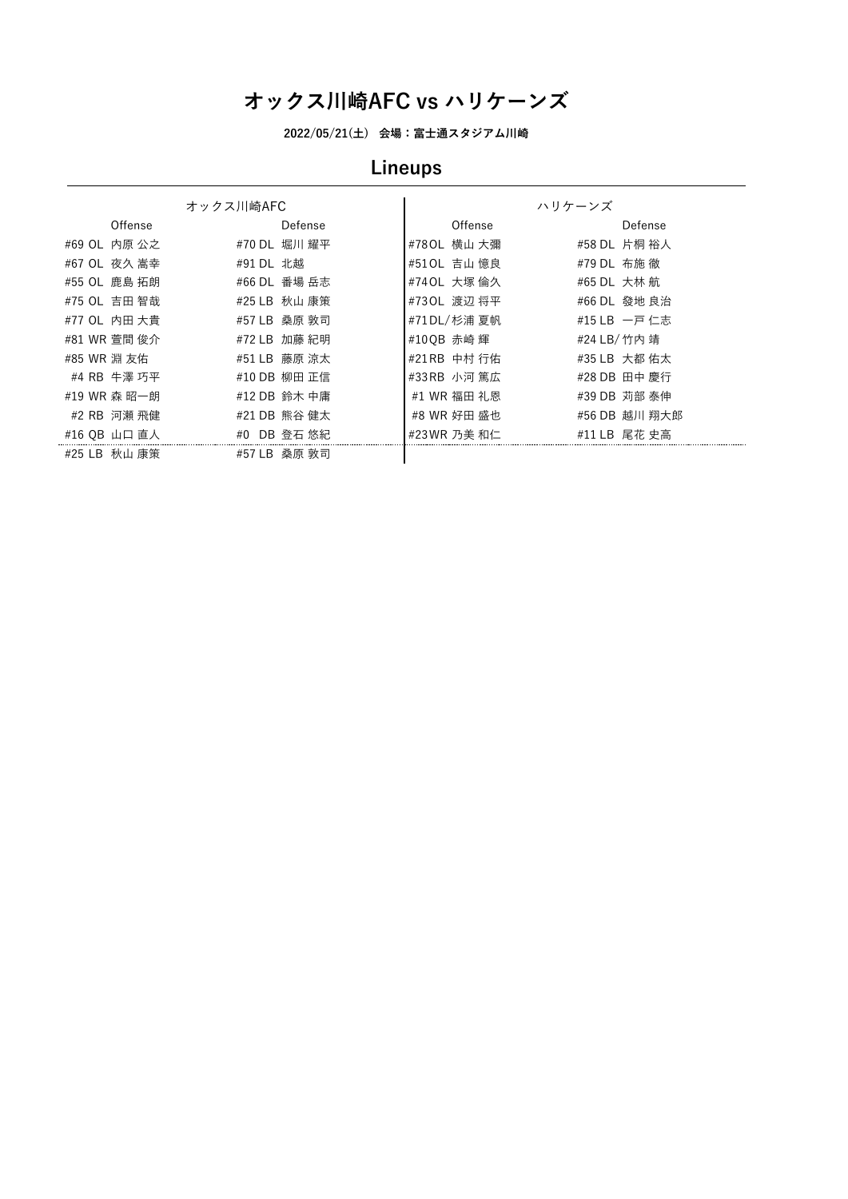**2022/05/21(土) 会場:富士通スタジアム川崎**

# **Lineups**

|                 | オックス川崎AFC       |              | ハリケーンズ        |
|-----------------|-----------------|--------------|---------------|
| Offense         | Defense         | Offense      | Defense       |
| #69 OL 内原 公之    | #70 DL 堀川 耀平    | #780L 横山 大彌  | #58 DL 片桐 裕人  |
| #67 OL 夜久 嵩幸    | #91 DL 北越       | #510L 吉山 憶良  | #79 DL 布施 徹   |
| #55 OL 鹿島 拓朗    | #66 DL 番場 岳志    | #74 OL 大塚 倫久 | #65 DL 大林 航   |
| #75 OL 吉田 智哉    | #25 LB 秋山 康策    | #730L 渡辺 将平  | #66 DL 發地 良治  |
| #77 OL 内田 大貴    | #57 LB 桑原 敦司    | #71 DL/杉浦 夏帆 | #15 LB 一戸 仁志  |
| #81 WR 萱間 俊介    | #72 LB 加藤 紀明    | #100B 赤崎 輝   | #24 LB/竹内 靖   |
| #85 WR 淵 友佑     | #51 LB 藤原 涼太    | #21 RB 中村 行佑 | #35 LB 大都 佑太  |
| #4 RB 牛澤 巧平     | #10 DB 柳田 正信    | #33 RB 小河 篤広 | #28 DB 田中 慶行  |
| #19 WR 森 昭一朗    | #12 DB 鈴木 中庸    | #1 WR 福田 礼恩  | #39 DB 苅部 泰伸  |
| #2 RB 河瀬 飛健     | #21 DB 熊谷 健太    | #8 WR 好田 盛也  | #56 DB 越川 翔大郎 |
| #16 OB 山口 直人    | #0 DB 登石 悠紀     | #23WR 乃美 和仁  | #11 LB 尾花 史高  |
| #25 LB<br>秋山 康策 | #57 LB<br>桑原 敦司 |              |               |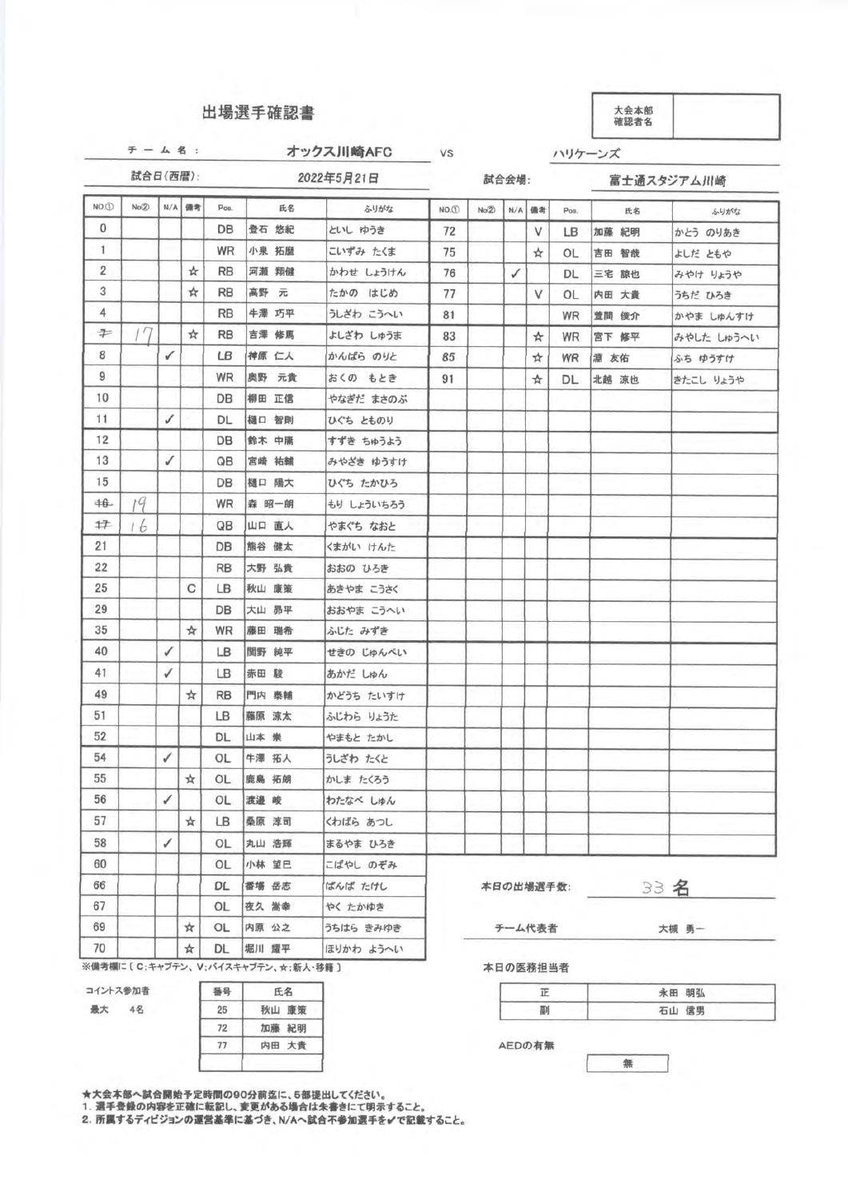### 出場選手確認書

試合日(西暦): 2022年5月21日

リケーンズ

チーム 名: オックス川崎AFC

VS

試合会場:

富士通スタジアム川崎

| NO.D            | No(2) |   | N/A 備考 | Pos.      | 氏名                                 | ふりがな       | $NO.$ <sup>(1)</sup> | No(2) | N/A | 備考        | Pos. | 氏名    | ふりがな       |
|-----------------|-------|---|--------|-----------|------------------------------------|------------|----------------------|-------|-----|-----------|------|-------|------------|
| $\mathbf{0}$    |       |   |        | DB        | 登石 悠紀                              | といし ゆうき    | 72                   |       |     | V         | LB   | 加藤 紀明 | かとう のりあき   |
| 1               |       |   |        | <b>WR</b> | 小泉 拓歴                              | こいずみ たくま   | 75                   |       |     | ☆         | 0L   | 吉田 智哉 | よしだ ともや    |
| 2               |       |   | ☆      | <b>RB</b> | 河瀬 翔健                              | かわせ しょうけん  | 76                   |       | ✓   |           | DL.  | 三宅 諒也 | みやけ りょうや   |
| 3               |       |   | ☆      | <b>RB</b> | 高野 元                               | たかの はじめ    | 77                   |       |     | V         | OL   | 内田 大貴 | うちだ ひろき    |
| 4               |       |   |        | <b>RB</b> | 牛澤 巧平                              | うしざわ こうへい  | 81                   |       |     |           | WR   | 萱間 俊介 | かやま しゅんすけ  |
| 字               |       |   | ☆      | <b>RB</b> | 吉澤 修馬                              | よしざわ しゅうま  | 83                   |       |     | ☆         | WR   | 宮下 修平 | みやした しゅうへい |
| 8               |       | ✓ |        | LB.       | 神原 仁人                              | かんばら のりと   | 85                   |       |     | ☆         | WR.  | 淵 友佑  | ふち ゆうすけ    |
| 9               |       |   |        | WR        | 奥野 元貴                              | おくの もとき    | 91                   |       |     | ☆         | DL.  | 北越 涼也 | きたこし りょうや  |
| 10              |       |   |        | DB        | 柳田 正信                              | やなぎだ まさのぶ  |                      |       |     |           |      |       |            |
| 11.             |       | ✓ |        | DL        | 樋口 智則                              | ひぐち とものり   |                      |       |     |           |      |       |            |
| 12              |       |   |        | DB.       | 鈴木 中庸                              | すずき ちゅうよう  |                      |       |     |           |      |       |            |
| 13 <sup>°</sup> |       | ✓ |        | QB        | 宮崎 祐輔                              | みやざき ゆうすけ  |                      |       |     |           |      |       |            |
| 15              |       |   |        | DB.       | 樋口 陽大                              | ひぐち たかひろ   |                      |       |     |           |      |       |            |
| 书.              | 19    |   |        | WR        | 森 昭一朗                              | もり しょういちろう |                      |       |     |           |      |       |            |
| $+7$            | 16    |   |        | QB        | 山口 直人                              | やまぐち なおと   |                      |       |     |           |      |       |            |
| 21              |       |   |        | DB        | 熊谷 健太                              | くまがい けんた   |                      |       |     |           |      |       |            |
| 22              |       |   |        | <b>RB</b> | 大野 弘貴                              | おおの ひろき    |                      |       |     |           |      |       |            |
| 25              |       |   | С      | LB.       | 秋山 康策                              | あきやま こうさく  |                      |       |     |           |      |       |            |
| 29              |       |   |        | DB        | 大山 昴平                              | おおやま こうへい  |                      |       |     |           |      |       |            |
| 35              |       |   | ☆      | WR        | 藤田 瑞希                              | ふじた みずき    |                      |       |     |           |      |       |            |
| 40              |       | ✓ |        | LB.       | 関野 純平                              | せきの じゅんぺい  |                      |       |     |           |      |       |            |
| 41              |       | ✓ |        | LB        | 赤田 駿                               | あかだ しゅん    |                      |       |     |           |      |       |            |
| 49              |       |   | ☆      | <b>RB</b> | 門内 泰輔                              | かどうち たいすけ  |                      |       |     |           |      |       |            |
| 51              |       |   |        | LB        | 藤原 涼太                              | ふじわら りょうた  |                      |       |     |           |      |       |            |
| 52              |       |   |        | DL        | 山本 崇                               | やまもと たかし   |                      |       |     |           |      |       |            |
| 54              |       | ✓ |        | OL        | 牛澤 拓人                              | うしざわ たくと   |                      |       |     |           |      |       |            |
| 55              |       |   | ☆      | OL        | 鹿島 拓朗                              | かしま たくろう   |                      |       |     |           |      |       |            |
| 56              |       | ✓ |        | OL        | 渡邉 峻                               | わたなべ しゅん   |                      |       |     |           |      |       |            |
| 57              |       |   | ☆      | LB.       | 桑原 淳司                              | くわばら あつし   |                      |       |     |           |      |       |            |
| 58              |       | ✓ |        | OL.       | 丸山 浩輝                              | まるやま ひろき   |                      |       |     |           |      |       |            |
| 60              |       |   |        | OL        | 小林 望巳                              | こばやし のぞみ   |                      |       |     |           |      |       |            |
| 66              |       |   |        | DL        | 番場 岳志                              | ばんば たけし    |                      |       |     | 本日の出場選手数: |      |       | 33 名       |
| 67              |       |   |        | OL        | 夜久 嵩幸                              | やく たかゆき    |                      |       |     |           |      |       |            |
| 69              |       |   | ☆      | OL        | 内原 公之                              | うちはら きみゆき  |                      |       |     | チーム代表者    |      |       | 大槻 勇一      |
| 70              |       |   | ☆      | DL        | 堀川 耀平                              | ほりかわ ようへい  |                      |       |     |           |      |       |            |
|                 |       |   |        |           | ※備考欄に〔C;キャブテン、V;パイスキャブテン、☆;新人·移籍 〕 |            |                      |       |     | 本日の医務担当者  |      |       |            |
| コイントス参加者        |       |   |        | 番号        | 氏名                                 |            |                      |       |     | 正         |      |       | 永田 明弘      |



| 番号 | 氏名    |
|----|-------|
| 25 | 秋山 康策 |
| 72 | 加藤 紀明 |
| 77 | 内田 大貴 |
|    |       |

大会本部へ試合開始予定時間の90分前迄に、5部提出してくだ

1. 選手登録の内容を正確に転記し、変更がある場合は朱書きにて明示すること。<br>2. 所属するディビジョンの運営基準に基づき、N/Aへ試合不参加選手を✔で記載する

| 永田 明弘 |
|-------|
| 石山 信男 |

AEDの有無

無